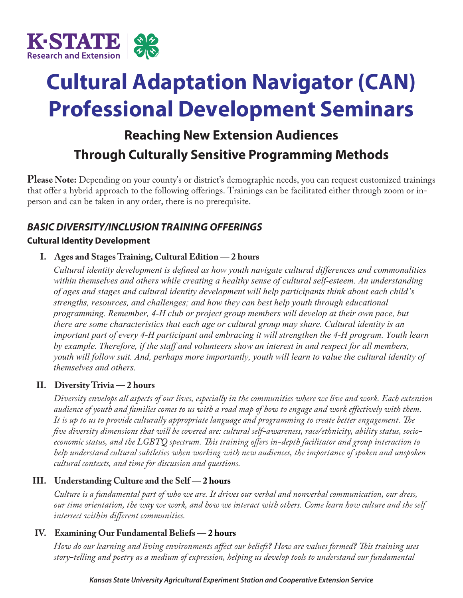

# **Cultural Adaptation Navigator (CAN) Professional Development Seminars**

## **Reaching New Extension Audiences Through Culturally Sensitive Programming Methods**

**Please Note:** Depending on your county's or district's demographic needs, you can request customized trainings that offer a hybrid approach to the following offerings. Trainings can be facilitated either through zoom or inperson and can be taken in any order, there is no prerequisite.

### *BASIC DIVERSITY/INCLUSION TRAINING OFFERINGS*

#### **Cultural Identity Development**

#### **I. Ages and Stages Training, Cultural Edition — 2 hours**

*Cultural identity development is defined as how youth navigate cultural differences and commonalities within themselves and others while creating a healthy sense of cultural self-esteem. An understanding of ages and stages and cultural identity development will help participants think about each child's strengths, resources, and challenges; and how they can best help youth through educational programming. Remember, 4-H club or project group members will develop at their own pace, but there are some characteristics that each age or cultural group may share. Cultural identity is an important part of every 4-H participant and embracing it will strengthen the 4-H program. Youth learn by example. Therefore, if the staff and volunteers show an interest in and respect for all members, youth will follow suit. And, perhaps more importantly, youth will learn to value the cultural identity of themselves and others.* 

#### **II. Diversity Trivia — 2 hours**

*Diversity envelops all aspects of our lives, especially in the communities where we live and work. Each extension audience of youth and families comes to us with a road map of how to engage and work effectively with them. It is up to us to provide culturally appropriate language and programming to create better engagement. The five diversity dimensions that will be covered are: cultural self-awareness, race/ethnicity, ability status, socioeconomic status, and the LGBTQ spectrum. This training offers in-depth facilitator and group interaction to help understand cultural subtleties when working with new audiences, the importance of spoken and unspoken cultural contexts, and time for discussion and questions.*

#### **III. Understanding Culture and the Self — 2 hours**

*Culture is a fundamental part of who we are. It drives our verbal and nonverbal communication, our dress, our time orientation, the way we work, and how we interact with others. Come learn how culture and the self intersect within different communities.* 

#### **IV. Examining Our Fundamental Beliefs — 2 hours**

*How do our learning and living environments affect our beliefs? How are values formed? This training uses story-telling and poetry as a medium of expression, helping us develop tools to understand our fundamental*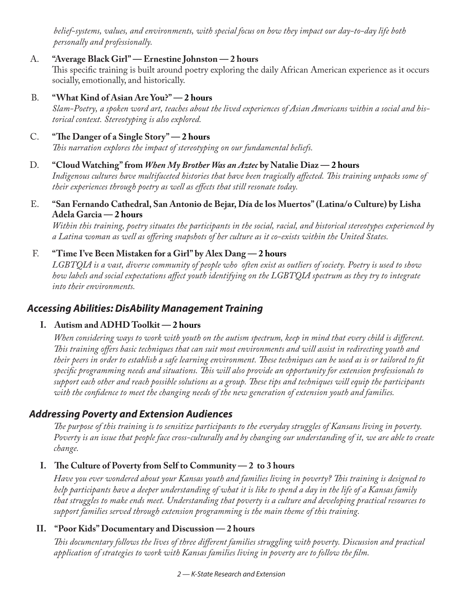*belief-systems, values, and environments, with special focus on how they impact our day-to-day life both personally and professionally.*

#### A. **"Average Black Girl" — Ernestine Johnston — 2 hours**

This specific training is built around poetry exploring the daily African American experience as it occurs socially, emotionally, and historically.

#### B. **"What Kind of Asian Are You?" — 2 hours**

*Slam-Poetry, a spoken word art, teaches about the lived experiences of Asian Americans within a social and historical context. Stereotyping is also explored.* 

#### C. **"The Danger of a Single Story" — 2 hours** *This narration explores the impact of stereotyping on our fundamental beliefs.*

#### D. **"Cloud Watching" from** *When My Brother Was an Aztec* **by Natalie Diaz — 2 hours**

*Indigenous cultures have multifaceted histories that have been tragically affected. This training unpacks some of their experiences through poetry as well as effects that still resonate today.*

#### E. **"San Fernando Cathedral, San Antonio de Bejar, Día de los Muertos" (Latina/o Culture) by Lisha Adela Garcia — 2 hours**

*Within this training, poetry situates the participants in the social, racial, and historical stereotypes experienced by a Latina woman as well as offering snapshots of her culture as it co-exists within the United States.*

#### F. **"Time I've Been Mistaken for a Girl" by Alex Dang — 2 hours**

*LGBTQIA is a vast, diverse community of people who often exist as outliers of society. Poetry is used to show how labels and social expectations affect youth identifying on the LGBTQIA spectrum as they try to integrate into their environments.*

#### *Accessing Abilities: DisAbility Management Training*

#### **I. Autism and ADHD Toolkit — 2 hours**

*When considering ways to work with youth on the autism spectrum, keep in mind that every child is different. This training offers basic techniques that can suit most environments and will assist in redirecting youth and their peers in order to establish a safe learning environment. These techniques can be used as is or tailored to fit specific programming needs and situations. This will also provide an opportunity for extension professionals to support each other and reach possible solutions as a group. These tips and techniques will equip the participants with the confidence to meet the changing needs of the new generation of extension youth and families.* 

#### *Addressing Poverty and Extension Audiences*

*The purpose of this training is to sensitize participants to the everyday struggles of Kansans living in poverty. Poverty is an issue that people face cross-culturally and by changing our understanding of it, we are able to create change.*

#### **I. The Culture of Poverty from Self to Community — 2 to 3 hours**

*Have you ever wondered about your Kansas youth and families living in poverty? This training is designed to help participants have a deeper understanding of what it is like to spend a day in the life of a Kansas family that struggles to make ends meet. Understanding that poverty is a culture and developing practical resources to support families served through extension programming is the main theme of this training.* 

#### **II. "Poor Kids" Documentary and Discussion — 2 hours**

*This documentary follows the lives of three different families struggling with poverty. Discussion and practical application of strategies to work with Kansas families living in poverty are to follow the film.*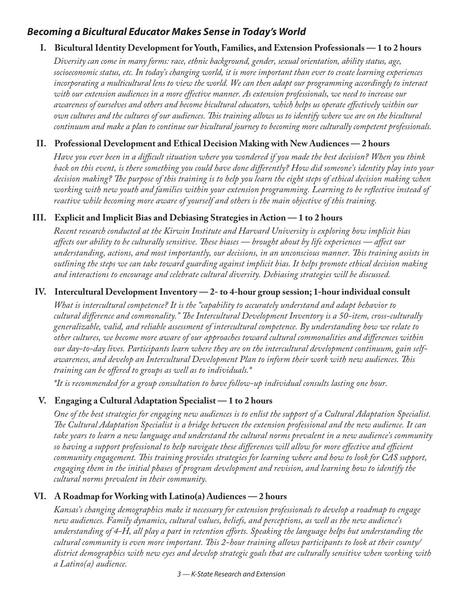#### *Becoming a Bicultural Educator Makes Sense in Today's World*

#### **I. Bicultural Identity Development for Youth, Families, and Extension Professionals — 1 to 2 hours**

*Diversity can come in many forms: race, ethnic background, gender, sexual orientation, ability status, age, socioeconomic status, etc. In today's changing world, it is more important than ever to create learning experiences incorporating a multicultural lens to view the world. We can then adapt our programming accordingly to interact with our extension audiences in a more effective manner. As extension professionals, we need to increase our awareness of ourselves and others and become bicultural educators, which helps us operate effectively within our own cultures and the cultures of our audiences. This training allows us to identify where we are on the bicultural continuum and make a plan to continue our bicultural journey to becoming more culturally competent professionals.*

#### **II. Professional Development and Ethical Decision Making with New Audiences — 2 hours**

*Have you ever been in a difficult situation where you wondered if you made the best decision? When you think back on this event, is there something you could have done differently? How did someone's identity play into your decision making? The purpose of this training is to help you learn the eight steps of ethical decision making when working with new youth and families within your extension programming. Learning to be reflective instead of reactive while becoming more aware of yourself and others is the main objective of this training.*

#### **III. Explicit and Implicit Bias and Debiasing Strategies in Action — 1 to 2 hours**

*Recent research conducted at the Kirwin Institute and Harvard University is exploring how implicit bias affects our ability to be culturally sensitive. These biases — brought about by life experiences — affect our understanding, actions, and most importantly, our decisions, in an unconscious manner. This training assists in outlining the steps we can take toward guarding against implicit bias. It helps promote ethical decision making and interactions to encourage and celebrate cultural diversity. Debiasing strategies will be discussed.*

#### **IV. Intercultural Development Inventory — 2- to 4-hour group session; 1-hour individual consult**

*What is intercultural competence? It is the "capability to accurately understand and adapt behavior to cultural difference and commonality." The Intercultural Development Inventory is a 50-item, cross-culturally generalizable, valid, and reliable assessment of intercultural competence. By understanding how we relate to other cultures, we become more aware of our approaches toward cultural commonalities and differences within our day-to-day lives. Participants learn where they are on the intercultural development continuum, gain selfawareness, and develop an Intercultural Development Plan to inform their work with new audiences. This training can be offered to groups as well as to individuals.\**

*\*It is recommended for a group consultation to have follow-up individual consults lasting one hour.*

#### **V. Engaging a Cultural Adaptation Specialist — 1 to 2 hours**

*One of the best strategies for engaging new audiences is to enlist the support of a Cultural Adaptation Specialist. The Cultural Adaptation Specialist is a bridge between the extension professional and the new audience. It can take years to learn a new language and understand the cultural norms prevalent in a new audience's community so having a support professional to help navigate these differences will allow for more effective and efficient community engagement. This training provides strategies for learning where and how to look for CAS support, engaging them in the initial phases of program development and revision, and learning how to identify the cultural norms prevalent in their community.*

#### **VI. A Roadmap for Working with Latino(a) Audiences — 2 hours**

*Kansas's changing demographics make it necessary for extension professionals to develop a roadmap to engage new audiences. Family dynamics, cultural values, beliefs, and perceptions, as well as the new audience's understanding of 4-H, all play a part in retention efforts. Speaking the language helps but understanding the cultural community is even more important. This 2-hour training allows participants to look at their county/ district demographics with new eyes and develop strategic goals that are culturally sensitive when working with a Latino(a) audience.* 

*3 — K-State Research and Extension*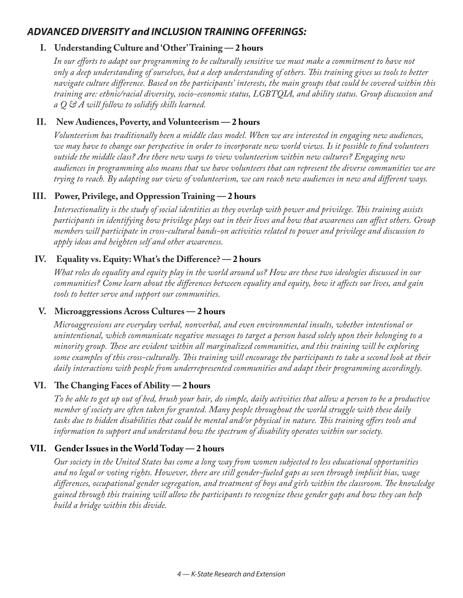#### *ADVANCED DIVERSITY and INCLUSION TRAINING OFFERINGS:*

#### **I. Understanding Culture and 'Other' Training — 2 hours**

*In our efforts to adapt our programming to be culturally sensitive we must make a commitment to have not only a deep understanding of ourselves, but a deep understanding of others. This training gives us tools to better navigate culture difference. Based on the participants' interests, the main groups that could be covered within this training are: ethnic/racial diversity, socio-economic status, LGBTQIA, and ability status. Group discussion and a Q & A will follow to solidify skills learned.*

#### **II. New Audiences, Poverty, and Volunteerism — 2 hours**

*Volunteerism has traditionally been a middle class model. When we are interested in engaging new audiences, we may have to change our perspective in order to incorporate new world views. Is it possible to find volunteers outside the middle class? Are there new ways to view volunteerism within new cultures? Engaging new audiences in programming also means that we have volunteers that can represent the diverse communities we are trying to reach. By adapting our view of volunteerism, we can reach new audiences in new and different ways.* 

#### **III. Power, Privilege, and Oppression Training — 2 hours**

*Intersectionality is the study of social identities as they overlap with power and privilege. This training assists participants in identifying how privilege plays out in their lives and how that awareness can affect others. Group members will participate in cross-cultural hands-on activities related to power and privilege and discussion to apply ideas and heighten self and other awareness.*

#### **IV. Equality vs. Equity: What's the Difference? — 2 hours**

*What roles do equality and equity play in the world around us? How are these two ideologies discussed in our communities? Come learn about the differences between equality and equity, how it affects our lives, and gain tools to better serve and support our communities.*

#### **V. Microaggressions Across Cultures — 2 hours**

*Microaggressions are everyday verbal, nonverbal, and even environmental insults, whether intentional or unintentional, which communicate negative messages to target a person based solely upon their belonging to a minority group. These are evident within all marginalized communities, and this training will be exploring some examples of this cross-culturally. This training will encourage the participants to take a second look at their daily interactions with people from underrepresented communities and adapt their programming accordingly.*

#### **VI. The Changing Faces of Ability — 2 hours**

*To be able to get up out of bed, brush your hair, do simple, daily activities that allow a person to be a productive member of society are often taken for granted. Many people throughout the world struggle with these daily tasks due to hidden disabilities that could be mental and/or physical in nature. This training offers tools and information to support and understand how the spectrum of disability operates within our society.*

#### **VII. Gender Issues in the World Today — 2 hours**

*Our society in the United States has come a long way from women subjected to less educational opportunities and no legal or voting rights. However, there are still gender-fueled gaps as seen through implicit bias, wage differences, occupational gender segregation, and treatment of boys and girls within the classroom. The knowledge gained through this training will allow the participants to recognize these gender gaps and how they can help build a bridge within this divide.*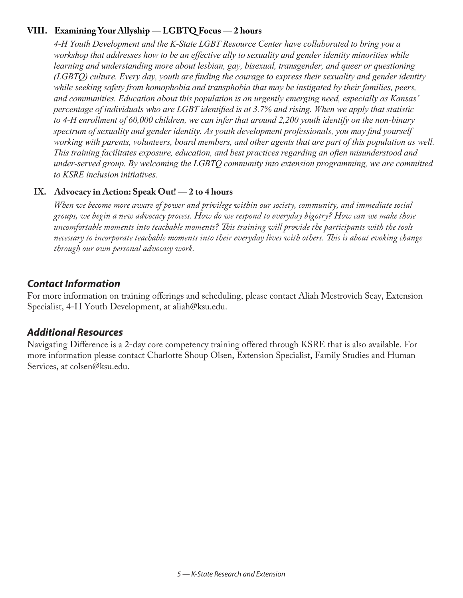#### **VIII. Examining Your Allyship — LGBTQ Focus — 2 hours**

*4-H Youth Development and the K-State LGBT Resource Center have collaborated to bring you a workshop that addresses how to be an effective ally to sexuality and gender identity minorities while learning and understanding more about lesbian, gay, bisexual, transgender, and queer or questioning (LGBTQ) culture. Every day, youth are finding the courage to express their sexuality and gender identity*  while seeking safety from homophobia and transphobia that may be instigated by their families, peers, *and communities. Education about this population is an urgently emerging need, especially as Kansas' percentage of individuals who are LGBT identified is at 3.7% and rising. When we apply that statistic to 4-H enrollment of 60,000 children, we can infer that around 2,200 youth identify on the non-binary spectrum of sexuality and gender identity. As youth development professionals, you may find yourself working with parents, volunteers, board members, and other agents that are part of this population as well. This training facilitates exposure, education, and best practices regarding an often misunderstood and under-served group. By welcoming the LGBTQ community into extension programming, we are committed to KSRE inclusion initiatives.*

#### **IX. Advocacy in Action: Speak Out! — 2 to 4 hours**

*When we become more aware of power and privilege within our society, community, and immediate social groups, we begin a new advocacy process. How do we respond to everyday bigotry? How can we make those uncomfortable moments into teachable moments? This training will provide the participants with the tools necessary to incorporate teachable moments into their everyday lives with others. This is about evoking change through our own personal advocacy work.*

#### *Contact Information*

For more information on training offerings and scheduling, please contact Aliah Mestrovich Seay, Extension Specialist, 4-H Youth Development, at aliah@ksu.edu.

#### *Additional Resources*

Navigating Difference is a 2-day core competency training offered through KSRE that is also available. For more information please contact Charlotte Shoup Olsen, Extension Specialist, Family Studies and Human Services, at colsen@ksu.edu.